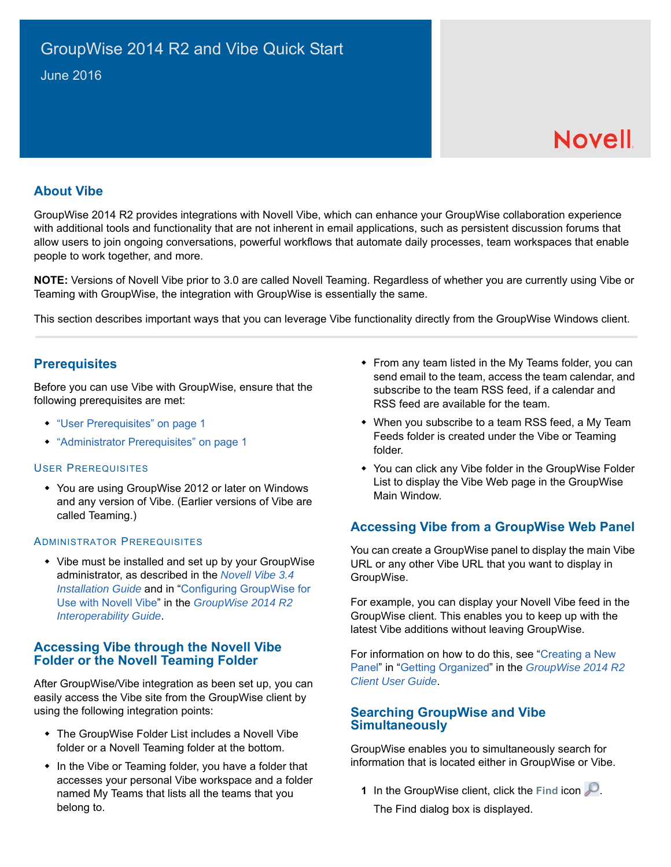# Novell

#### **About Vibe**

GroupWise 2014 R2 provides integrations with Novell Vibe, which can enhance your GroupWise collaboration experience with additional tools and functionality that are not inherent in email applications, such as persistent discussion forums that allow users to join ongoing conversations, powerful workflows that automate daily processes, team workspaces that enable people to work together, and more.

**NOTE:** Versions of Novell Vibe prior to 3.0 are called Novell Teaming. Regardless of whether you are currently using Vibe or Teaming with GroupWise, the integration with GroupWise is essentially the same.

This section describes important ways that you can leverage Vibe functionality directly from the GroupWise Windows client.

## **Prerequisites**

Before you can use Vibe with GroupWise, ensure that the following prerequisites are met:

- ["User Prerequisites" on page 1](#page-0-0)
- ["Administrator Prerequisites" on page 1](#page-0-1)

#### <span id="page-0-0"></span>USER PREREQUISITES

• You are using GroupWise 2012 or later on Windows and any version of Vibe. (Earlier versions of Vibe are called Teaming.)

#### <span id="page-0-1"></span>ADMINISTRATOR PREREQUISITES

• Vibe must be installed and set up by your GroupWise administrator, as described in the *[Novell Vibe 3.4](https://www.novell.com/documentation/vibe34/pdfdoc/vibe34_inst/vibe34_inst.pdf#bookinfo)  [Installation Guide](https://www.novell.com/documentation/vibe34/pdfdoc/vibe34_inst/vibe34_inst.pdf#bookinfo)* and in ["Configuring GroupWise for](https://www.novell.com/documentation/groupwise2014r2/pdfdoc/gw2014_guide_interop/gw2014_guide_interop.pdf#interopvibeconfiguregw)  Use with Novell Vibe" in the *[GroupWise 2014 R2](https://www.novell.com/documentation/groupwise2014r2/pdfdoc/gw2014_guide_interop/gw2014_guide_interop.pdf#interopfront)  Interoperability Guide*.

#### **Accessing Vibe through the Novell Vibe Folder or the Novell Teaming Folder**

After GroupWise/Vibe integration as been set up, you can easily access the Vibe site from the GroupWise client by using the following integration points:

- The GroupWise Folder List includes a Novell Vibe folder or a Novell Teaming folder at the bottom.
- In the Vibe or Teaming folder, you have a folder that accesses your personal Vibe workspace and a folder named My Teams that lists all the teams that you belong to.
- From any team listed in the My Teams folder, you can send email to the team, access the team calendar, and subscribe to the team RSS feed, if a calendar and RSS feed are available for the team.
- When you subscribe to a team RSS feed, a My Team Feeds folder is created under the Vibe or Teaming folder.
- You can click any Vibe folder in the GroupWise Folder List to display the Vibe Web page in the GroupWise Main Window.

## **Accessing Vibe from a GroupWise Web Panel**

You can create a GroupWise panel to display the main Vibe URL or any other Vibe URL that you want to display in GroupWise.

For example, you can display your Novell Vibe feed in the GroupWise client. This enables you to keep up with the latest Vibe additions without leaving GroupWise.

For information on how to do this, see ["Creating a New](https://www.novell.com/documentation/groupwise2014r2/pdfdoc/gw2014_guide_userwin/gw2014_guide_userwin.pdf#getorgpanelsnew)  Panel" in "[Getting Organized"](https://www.novell.com/documentation/groupwise2014r2/pdfdoc/gw2014_guide_userwin/gw2014_guide_userwin.pdf#getorg) in the *[GroupWise 2014 R2](https://www.novell.com/documentation/groupwise2014r2/pdfdoc/gw2014_guide_userwin/gw2014_guide_userwin.pdf#frontpage)  Client User Guide*.

#### **Searching GroupWise and Vibe Simultaneously**

GroupWise enables you to simultaneously search for information that is located either in GroupWise or Vibe.

**1** In the GroupWise client, click the Find icon  $\mathcal{P}$ . The Find dialog box is displayed.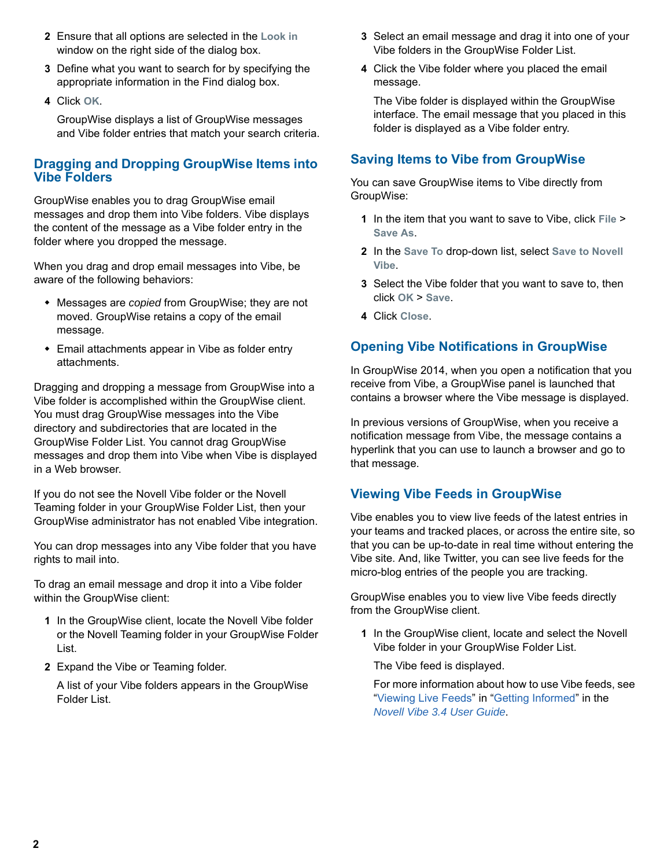- **2** Ensure that all options are selected in the **Look in** window on the right side of the dialog box.
- **3** Define what you want to search for by specifying the appropriate information in the Find dialog box.
- **4** Click **OK**.

GroupWise displays a list of GroupWise messages and Vibe folder entries that match your search criteria.

### **Dragging and Dropping GroupWise Items into Vibe Folders**

GroupWise enables you to drag GroupWise email messages and drop them into Vibe folders. Vibe displays the content of the message as a Vibe folder entry in the folder where you dropped the message.

When you drag and drop email messages into Vibe, be aware of the following behaviors:

- Messages are *copied* from GroupWise; they are not moved. GroupWise retains a copy of the email message.
- Email attachments appear in Vibe as folder entry attachments.

Dragging and dropping a message from GroupWise into a Vibe folder is accomplished within the GroupWise client. You must drag GroupWise messages into the Vibe directory and subdirectories that are located in the GroupWise Folder List. You cannot drag GroupWise messages and drop them into Vibe when Vibe is displayed in a Web browser.

If you do not see the Novell Vibe folder or the Novell Teaming folder in your GroupWise Folder List, then your GroupWise administrator has not enabled Vibe integration.

You can drop messages into any Vibe folder that you have rights to mail into.

To drag an email message and drop it into a Vibe folder within the GroupWise client:

- **1** In the GroupWise client, locate the Novell Vibe folder or the Novell Teaming folder in your GroupWise Folder List.
- **2** Expand the Vibe or Teaming folder.

A list of your Vibe folders appears in the GroupWise Folder List.

- **3** Select an email message and drag it into one of your Vibe folders in the GroupWise Folder List.
- **4** Click the Vibe folder where you placed the email message.

The Vibe folder is displayed within the GroupWise interface. The email message that you placed in this folder is displayed as a Vibe folder entry.

## **Saving Items to Vibe from GroupWise**

You can save GroupWise items to Vibe directly from GroupWise:

- **1** In the item that you want to save to Vibe, click **File** > **Save As**.
- **2** In the **Save To** drop-down list, select **Save to Novell Vibe**.
- **3** Select the Vibe folder that you want to save to, then click **OK** > **Save**.
- **4** Click **Close**.

## **Opening Vibe Notifications in GroupWise**

In GroupWise 2014, when you open a notification that you receive from Vibe, a GroupWise panel is launched that contains a browser where the Vibe message is displayed.

In previous versions of GroupWise, when you receive a notification message from Vibe, the message contains a hyperlink that you can use to launch a browser and go to that message.

## **Viewing Vibe Feeds in GroupWise**

Vibe enables you to view live feeds of the latest entries in your teams and tracked places, or across the entire site, so that you can be up-to-date in real time without entering the Vibe site. And, like Twitter, you can see live feeds for the micro-blog entries of the people you are tracking.

GroupWise enables you to view live Vibe feeds directly from the GroupWise client.

**1** In the GroupWise client, locate and select the Novell Vibe folder in your GroupWise Folder List.

The Vibe feed is displayed.

For more information about how to use Vibe feeds, see ["Viewing Live Feeds"](https://www.novell.com/documentation/vibe34/pdfdoc/vibe34_user/vibe34_user.pdf#bmrgjjl) in "[Getting Informed](https://www.novell.com/documentation/vibe34/pdfdoc/vibe34_user/vibe34_user.pdf#informed)" in the *[Novell Vibe 3.4 User Guide](https://www.novell.com/documentation/vibe34/pdfdoc/vibe34_user/vibe34_user.pdf#bookinfo)*.